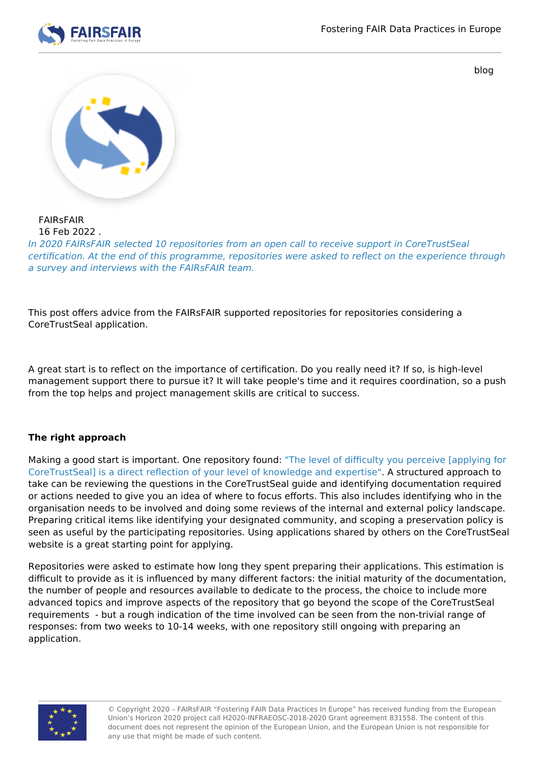

blog



FAIRsFAIR 16 Feb 2022 .

In 2020 FAIRsFAIR selected 10 repositories from an open call to receive support in CoreTrustSeal certification. At the end of this programme, repositories were asked to reflect on the experience through a survey and interviews with the FAIRsFAIR team.

This post offers advice from the FAIRsFAIR supported repositories for repositories considering a CoreTrustSeal application.

A great start is to reflect on the importance of certification. Do you really need it? If so, is high-level management support there to pursue it? It will take people's time and it requires coordination, so a push from the top helps and project management skills are critical to success.

## **The right approach**

Making a good start is important. One repository found: "The level of difficulty you perceive [applying for CoreTrustSeal] is a direct reflection of your level of knowledge and expertise". A structured approach to take can be reviewing the questions in the CoreTrustSeal guide and identifying documentation required or actions needed to give you an idea of where to focus efforts. This also includes identifying who in the organisation needs to be involved and doing some reviews of the internal and external policy landscape. Preparing critical items like identifying your designated community, and scoping a preservation policy is seen as useful by the participating repositories. Using applications shared by others on the CoreTrustSeal website is a great starting point for applying.

Repositories were asked to estimate how long they spent preparing their applications. This estimation is difficult to provide as it is influenced by many different factors: the initial maturity of the documentation, the number of people and resources available to dedicate to the process, the choice to include more advanced topics and improve aspects of the repository that go beyond the scope of the CoreTrustSeal requirements - but a rough indication of the time involved can be seen from the non-trivial range of responses: from two weeks to 10-14 weeks, with one repository still ongoing with preparing an application.



© Copyright 2020 – FAIRsFAIR "Fostering FAIR Data Practices In Europe" has received funding from the European Union's Horizon 2020 project call H2020-INFRAEOSC-2018-2020 Grant agreement 831558. The content of this document does not represent the opinion of the European Union, and the European Union is not responsible for any use that might be made of such content.